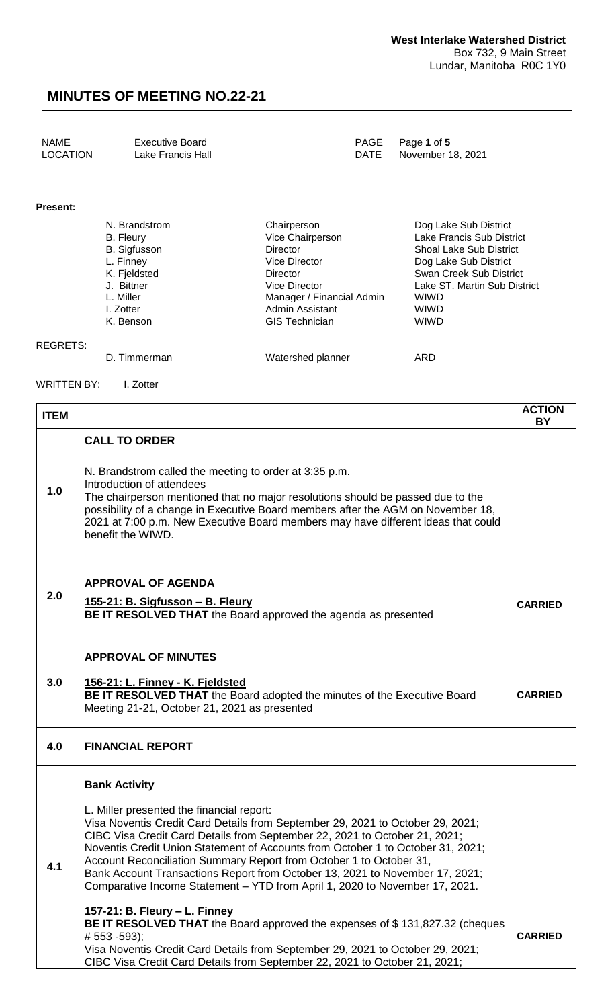| <b>NAME</b><br>Executive Board<br>LOCATION<br>Lake Francis Hall | PAGE Page 1 of 5<br>DATE November 18, 2021 |
|-----------------------------------------------------------------|--------------------------------------------|
|-----------------------------------------------------------------|--------------------------------------------|

#### **Present:**

REGRETS:

| N. Brandstrom | Chairperson               | Dog Lake Sub District          |
|---------------|---------------------------|--------------------------------|
|               |                           |                                |
| B. Fleury     | Vice Chairperson          | Lake Francis Sub District      |
| B. Sigfusson  | <b>Director</b>           | <b>Shoal Lake Sub District</b> |
| L. Finney     | <b>Vice Director</b>      | Dog Lake Sub District          |
| K. Fjeldsted  | Director                  | Swan Creek Sub District        |
| J. Bittner    | Vice Director             | Lake ST. Martin Sub District   |
| L. Miller     | Manager / Financial Admin | <b>WIWD</b>                    |
| I. Zotter     | <b>Admin Assistant</b>    | <b>WIWD</b>                    |
| K. Benson     | <b>GIS Technician</b>     | <b>WIWD</b>                    |
|               |                           |                                |
|               |                           |                                |

D. Timmerman Matershed planner ARD

WRITTEN BY: I. Zotter

| <b>ITEM</b> |                                                                                                                                                                                                                                                                                                                                                                                                                                                                                                                                                                                                                                                                                                                                                                                                                                                                    | <b>ACTION</b><br><b>BY</b> |
|-------------|--------------------------------------------------------------------------------------------------------------------------------------------------------------------------------------------------------------------------------------------------------------------------------------------------------------------------------------------------------------------------------------------------------------------------------------------------------------------------------------------------------------------------------------------------------------------------------------------------------------------------------------------------------------------------------------------------------------------------------------------------------------------------------------------------------------------------------------------------------------------|----------------------------|
| 1.0         | <b>CALL TO ORDER</b><br>N. Brandstrom called the meeting to order at 3:35 p.m.<br>Introduction of attendees<br>The chairperson mentioned that no major resolutions should be passed due to the<br>possibility of a change in Executive Board members after the AGM on November 18,<br>2021 at 7:00 p.m. New Executive Board members may have different ideas that could<br>benefit the WIWD.                                                                                                                                                                                                                                                                                                                                                                                                                                                                       |                            |
| 2.0         | <b>APPROVAL OF AGENDA</b><br>155-21: B. Sigfusson - B. Fleury<br>BE IT RESOLVED THAT the Board approved the agenda as presented                                                                                                                                                                                                                                                                                                                                                                                                                                                                                                                                                                                                                                                                                                                                    | <b>CARRIED</b>             |
| 3.0         | <b>APPROVAL OF MINUTES</b><br>156-21: L. Finney - K. Fjeldsted<br>BE IT RESOLVED THAT the Board adopted the minutes of the Executive Board<br>Meeting 21-21, October 21, 2021 as presented                                                                                                                                                                                                                                                                                                                                                                                                                                                                                                                                                                                                                                                                         | <b>CARRIED</b>             |
| 4.0         | <b>FINANCIAL REPORT</b>                                                                                                                                                                                                                                                                                                                                                                                                                                                                                                                                                                                                                                                                                                                                                                                                                                            |                            |
| 4.1         | <b>Bank Activity</b><br>L. Miller presented the financial report:<br>Visa Noventis Credit Card Details from September 29, 2021 to October 29, 2021;<br>CIBC Visa Credit Card Details from September 22, 2021 to October 21, 2021;<br>Noventis Credit Union Statement of Accounts from October 1 to October 31, 2021;<br>Account Reconciliation Summary Report from October 1 to October 31,<br>Bank Account Transactions Report from October 13, 2021 to November 17, 2021;<br>Comparative Income Statement - YTD from April 1, 2020 to November 17, 2021.<br>157-21: B. Fleury - L. Finney<br><b>BE IT RESOLVED THAT</b> the Board approved the expenses of \$131,827.32 (cheques<br># 553 -593);<br>Visa Noventis Credit Card Details from September 29, 2021 to October 29, 2021;<br>CIBC Visa Credit Card Details from September 22, 2021 to October 21, 2021; | <b>CARRIED</b>             |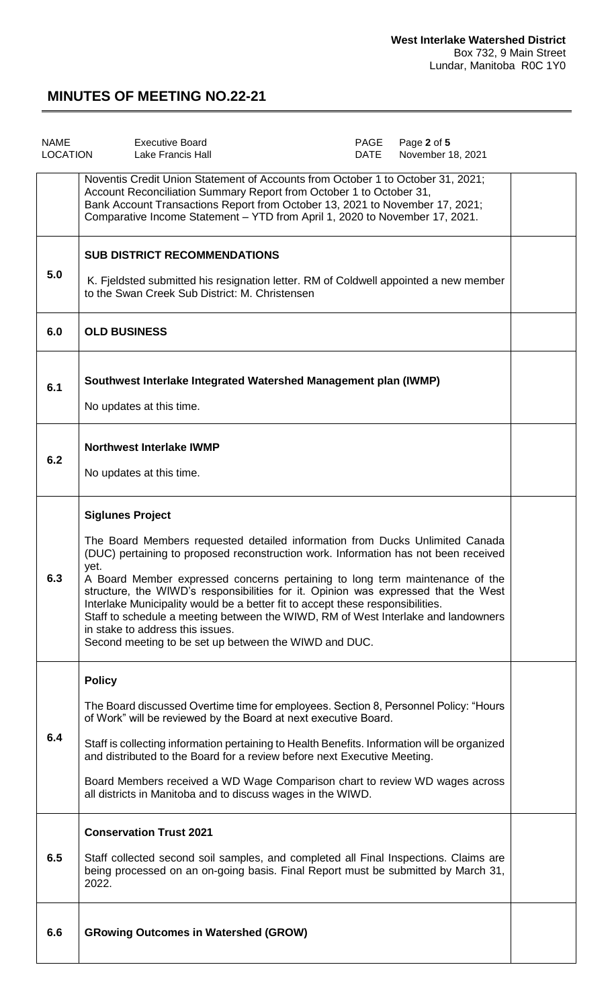| <b>NAME</b><br><b>LOCATION</b> | <b>Executive Board</b><br><b>Lake Francis Hall</b>                                                                                                                                                                                                                                                                                                                                                                                                                                                                                                                                                                                               | PAGE<br>DATE | Page 2 of 5<br>November 18, 2021 |  |
|--------------------------------|--------------------------------------------------------------------------------------------------------------------------------------------------------------------------------------------------------------------------------------------------------------------------------------------------------------------------------------------------------------------------------------------------------------------------------------------------------------------------------------------------------------------------------------------------------------------------------------------------------------------------------------------------|--------------|----------------------------------|--|
|                                | Noventis Credit Union Statement of Accounts from October 1 to October 31, 2021;<br>Account Reconciliation Summary Report from October 1 to October 31,<br>Bank Account Transactions Report from October 13, 2021 to November 17, 2021;<br>Comparative Income Statement - YTD from April 1, 2020 to November 17, 2021.                                                                                                                                                                                                                                                                                                                            |              |                                  |  |
| 5.0                            | <b>SUB DISTRICT RECOMMENDATIONS</b><br>K. Fjeldsted submitted his resignation letter. RM of Coldwell appointed a new member<br>to the Swan Creek Sub District: M. Christensen                                                                                                                                                                                                                                                                                                                                                                                                                                                                    |              |                                  |  |
| 6.0                            | <b>OLD BUSINESS</b>                                                                                                                                                                                                                                                                                                                                                                                                                                                                                                                                                                                                                              |              |                                  |  |
| 6.1                            | Southwest Interlake Integrated Watershed Management plan (IWMP)<br>No updates at this time.                                                                                                                                                                                                                                                                                                                                                                                                                                                                                                                                                      |              |                                  |  |
| 6.2                            | <b>Northwest Interlake IWMP</b><br>No updates at this time.                                                                                                                                                                                                                                                                                                                                                                                                                                                                                                                                                                                      |              |                                  |  |
|                                | <b>Siglunes Project</b><br>The Board Members requested detailed information from Ducks Unlimited Canada<br>(DUC) pertaining to proposed reconstruction work. Information has not been received<br>yet.<br>A Board Member expressed concerns pertaining to long term maintenance of the<br>structure, the WIWD's responsibilities for it. Opinion was expressed that the West<br>Interlake Municipality would be a better fit to accept these responsibilities.<br>Staff to schedule a meeting between the WIWD, RM of West Interlake and landowners<br>in stake to address this issues.<br>Second meeting to be set up between the WIWD and DUC. |              |                                  |  |
| 6.4                            | <b>Policy</b><br>The Board discussed Overtime time for employees. Section 8, Personnel Policy: "Hours<br>of Work" will be reviewed by the Board at next executive Board.<br>Staff is collecting information pertaining to Health Benefits. Information will be organized<br>and distributed to the Board for a review before next Executive Meeting.<br>Board Members received a WD Wage Comparison chart to review WD wages across<br>all districts in Manitoba and to discuss wages in the WIWD.                                                                                                                                               |              |                                  |  |
| 6.5                            | <b>Conservation Trust 2021</b><br>Staff collected second soil samples, and completed all Final Inspections. Claims are<br>being processed on an on-going basis. Final Report must be submitted by March 31,<br>2022.                                                                                                                                                                                                                                                                                                                                                                                                                             |              |                                  |  |
| 6.6                            | <b>GRowing Outcomes in Watershed (GROW)</b>                                                                                                                                                                                                                                                                                                                                                                                                                                                                                                                                                                                                      |              |                                  |  |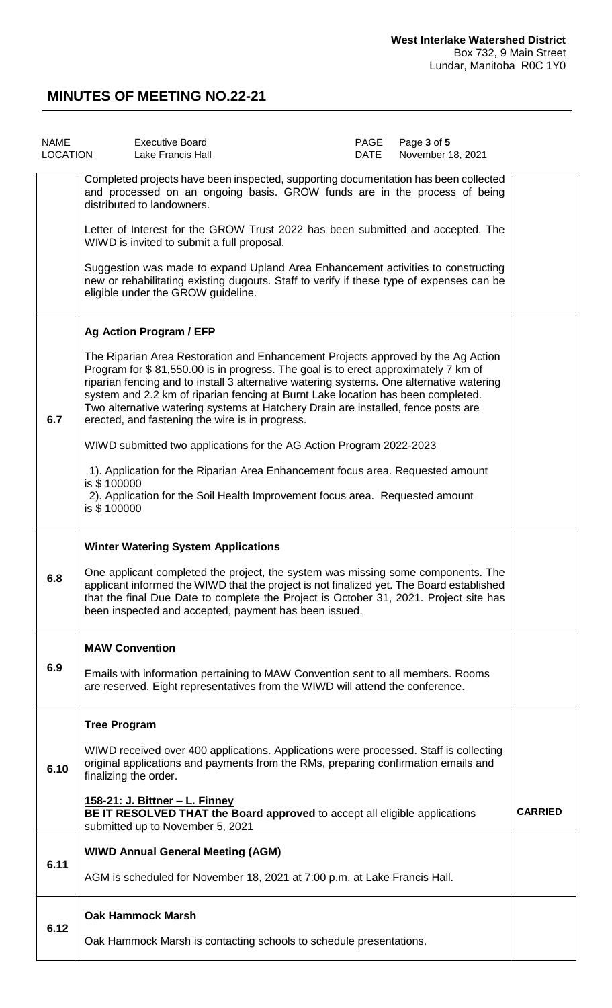| <b>NAME</b><br>LOCATION | <b>Executive Board</b><br>Lake Francis Hall                                                                                                                                                                                                                                                                                                                                                                                                                                                    | PAGE<br>DATE | Page 3 of 5<br>November 18, 2021 |                |
|-------------------------|------------------------------------------------------------------------------------------------------------------------------------------------------------------------------------------------------------------------------------------------------------------------------------------------------------------------------------------------------------------------------------------------------------------------------------------------------------------------------------------------|--------------|----------------------------------|----------------|
|                         | Completed projects have been inspected, supporting documentation has been collected<br>and processed on an ongoing basis. GROW funds are in the process of being<br>distributed to landowners.                                                                                                                                                                                                                                                                                                 |              |                                  |                |
|                         | Letter of Interest for the GROW Trust 2022 has been submitted and accepted. The<br>WIWD is invited to submit a full proposal.                                                                                                                                                                                                                                                                                                                                                                  |              |                                  |                |
|                         | Suggestion was made to expand Upland Area Enhancement activities to constructing<br>new or rehabilitating existing dugouts. Staff to verify if these type of expenses can be<br>eligible under the GROW guideline.                                                                                                                                                                                                                                                                             |              |                                  |                |
|                         | <b>Ag Action Program / EFP</b>                                                                                                                                                                                                                                                                                                                                                                                                                                                                 |              |                                  |                |
| 6.7                     | The Riparian Area Restoration and Enhancement Projects approved by the Ag Action<br>Program for \$81,550.00 is in progress. The goal is to erect approximately 7 km of<br>riparian fencing and to install 3 alternative watering systems. One alternative watering<br>system and 2.2 km of riparian fencing at Burnt Lake location has been completed.<br>Two alternative watering systems at Hatchery Drain are installed, fence posts are<br>erected, and fastening the wire is in progress. |              |                                  |                |
|                         | WIWD submitted two applications for the AG Action Program 2022-2023                                                                                                                                                                                                                                                                                                                                                                                                                            |              |                                  |                |
|                         | 1). Application for the Riparian Area Enhancement focus area. Requested amount<br>is \$100000<br>2). Application for the Soil Health Improvement focus area. Requested amount<br>is \$100000                                                                                                                                                                                                                                                                                                   |              |                                  |                |
|                         | <b>Winter Watering System Applications</b>                                                                                                                                                                                                                                                                                                                                                                                                                                                     |              |                                  |                |
| 6.8                     | One applicant completed the project, the system was missing some components. The<br>applicant informed the WIWD that the project is not finalized yet. The Board established<br>that the final Due Date to complete the Project is October 31, 2021. Project site has<br>been inspected and accepted, payment has been issued.                                                                                                                                                                 |              |                                  |                |
|                         | <b>MAW Convention</b>                                                                                                                                                                                                                                                                                                                                                                                                                                                                          |              |                                  |                |
| 6.9                     | Emails with information pertaining to MAW Convention sent to all members. Rooms<br>are reserved. Eight representatives from the WIWD will attend the conference.                                                                                                                                                                                                                                                                                                                               |              |                                  |                |
|                         | <b>Tree Program</b>                                                                                                                                                                                                                                                                                                                                                                                                                                                                            |              |                                  |                |
| 6.10                    | WIWD received over 400 applications. Applications were processed. Staff is collecting<br>original applications and payments from the RMs, preparing confirmation emails and<br>finalizing the order.                                                                                                                                                                                                                                                                                           |              |                                  |                |
|                         | <u> 158-21: J. Bittner – L. Finney</u><br>BE IT RESOLVED THAT the Board approved to accept all eligible applications<br>submitted up to November 5, 2021                                                                                                                                                                                                                                                                                                                                       |              |                                  | <b>CARRIED</b> |
|                         | <b>WIWD Annual General Meeting (AGM)</b>                                                                                                                                                                                                                                                                                                                                                                                                                                                       |              |                                  |                |
| 6.11                    | AGM is scheduled for November 18, 2021 at 7:00 p.m. at Lake Francis Hall.                                                                                                                                                                                                                                                                                                                                                                                                                      |              |                                  |                |
|                         | <b>Oak Hammock Marsh</b>                                                                                                                                                                                                                                                                                                                                                                                                                                                                       |              |                                  |                |
| 6.12                    | Oak Hammock Marsh is contacting schools to schedule presentations.                                                                                                                                                                                                                                                                                                                                                                                                                             |              |                                  |                |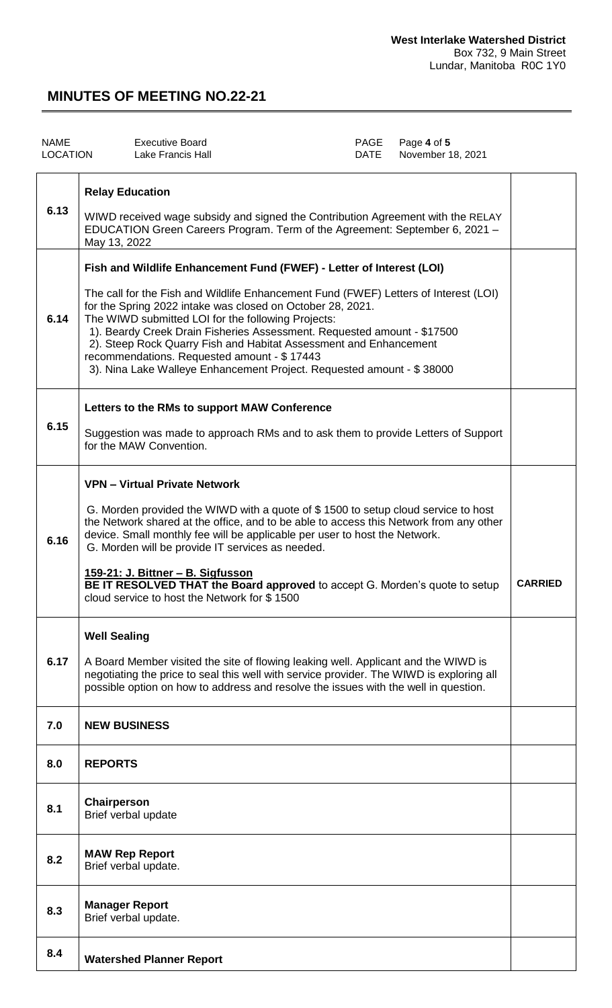| <b>NAME</b><br><b>LOCATION</b> |                                        | <b>Executive Board</b><br>Lake Francis Hall                                                                                                                                                                                                                                                                                                                                                                                                                                                                                                              | PAGE<br>DATE | Page 4 of 5<br>November 18, 2021 |                |
|--------------------------------|----------------------------------------|----------------------------------------------------------------------------------------------------------------------------------------------------------------------------------------------------------------------------------------------------------------------------------------------------------------------------------------------------------------------------------------------------------------------------------------------------------------------------------------------------------------------------------------------------------|--------------|----------------------------------|----------------|
| 6.13                           | <b>Relay Education</b><br>May 13, 2022 | WIWD received wage subsidy and signed the Contribution Agreement with the RELAY<br>EDUCATION Green Careers Program. Term of the Agreement: September 6, 2021 -                                                                                                                                                                                                                                                                                                                                                                                           |              |                                  |                |
| 6.14                           |                                        | Fish and Wildlife Enhancement Fund (FWEF) - Letter of Interest (LOI)<br>The call for the Fish and Wildlife Enhancement Fund (FWEF) Letters of Interest (LOI)<br>for the Spring 2022 intake was closed on October 28, 2021.<br>The WIWD submitted LOI for the following Projects:<br>1). Beardy Creek Drain Fisheries Assessment. Requested amount - \$17500<br>2). Steep Rock Quarry Fish and Habitat Assessment and Enhancement<br>recommendations. Requested amount - \$17443<br>3). Nina Lake Walleye Enhancement Project. Requested amount - \$38000 |              |                                  |                |
| 6.15                           |                                        | Letters to the RMs to support MAW Conference<br>Suggestion was made to approach RMs and to ask them to provide Letters of Support<br>for the MAW Convention.                                                                                                                                                                                                                                                                                                                                                                                             |              |                                  |                |
| 6.16                           |                                        | <b>VPN - Virtual Private Network</b><br>G. Morden provided the WIWD with a quote of \$1500 to setup cloud service to host<br>the Network shared at the office, and to be able to access this Network from any other<br>device. Small monthly fee will be applicable per user to host the Network.<br>G. Morden will be provide IT services as needed.<br>159-21: J. Bittner - B. Sigfusson<br><b>BE IT RESOLVED THAT the Board approved</b> to accept G. Morden's quote to setup<br>cloud service to host the Network for \$1500                         |              |                                  | <b>CARRIED</b> |
| 6.17                           | <b>Well Sealing</b>                    | A Board Member visited the site of flowing leaking well. Applicant and the WIWD is<br>negotiating the price to seal this well with service provider. The WIWD is exploring all<br>possible option on how to address and resolve the issues with the well in question.                                                                                                                                                                                                                                                                                    |              |                                  |                |
| 7.0                            | <b>NEW BUSINESS</b>                    |                                                                                                                                                                                                                                                                                                                                                                                                                                                                                                                                                          |              |                                  |                |
| 8.0                            | <b>REPORTS</b>                         |                                                                                                                                                                                                                                                                                                                                                                                                                                                                                                                                                          |              |                                  |                |
| 8.1                            | Chairperson                            | Brief verbal update                                                                                                                                                                                                                                                                                                                                                                                                                                                                                                                                      |              |                                  |                |
| 8.2                            |                                        | <b>MAW Rep Report</b><br>Brief verbal update.                                                                                                                                                                                                                                                                                                                                                                                                                                                                                                            |              |                                  |                |
| 8.3                            | <b>Manager Report</b>                  | Brief verbal update.                                                                                                                                                                                                                                                                                                                                                                                                                                                                                                                                     |              |                                  |                |
| 8.4                            |                                        | <b>Watershed Planner Report</b>                                                                                                                                                                                                                                                                                                                                                                                                                                                                                                                          |              |                                  |                |